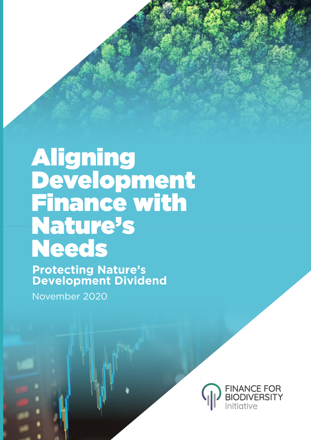# Aligning Development Finance with Nature's Needs

**Protecting Nature's Development Dividend**

November 2020

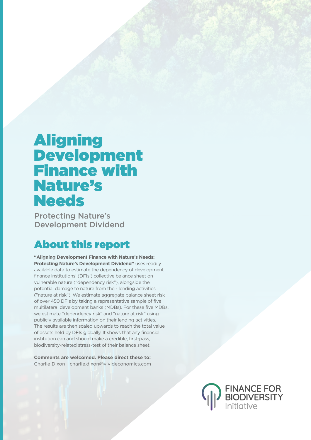## Aligning Development Finance with Nature's **Needs**

Protecting Nature's Development Dividend

## About this report

**"Aligning Development Finance with Nature's Needs: Protecting Nature's Development Dividend"** uses readily available data to estimate the dependency of development finance institutions' (DFIs') collective balance sheet on vulnerable nature ("dependency risk"), alongside the potential damage to nature from their lending activities ("nature at risk"). We estimate aggregate balance sheet risk of over 450 DFIs by taking a representative sample of five multilateral development banks (MDBs). For these five MDBs, we estimate "dependency risk" and "nature at risk" using publicly available information on their lending activities. The results are then scaled upwards to reach the total value of assets held by DFIs globally. It shows that any financial institution can and should make a credible, first-pass, biodiversity-related stress-test of their balance sheet.

**Comments are welcomed. Please direct these to:** Charlie Dixon - charlie.dixon@vivideconomics.com

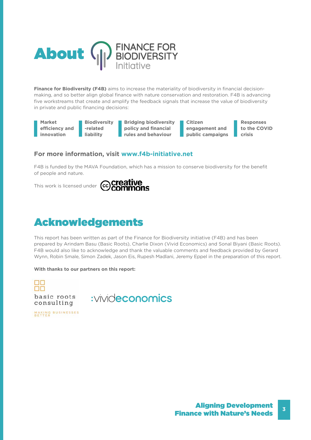

**Finance for Biodiversity (F4B)** aims to increase the materiality of biodiversity in financial decisionmaking, and so better align global finance with nature conservation and restoration. F4B is advancing five workstreams that create and amplify the feedback signals that increase the value of biodiversity in private and public financing decisions:

**Market efficiency and innovation**

**Biodiversity -related liability**

**Bridging biodiversity policy and financial rules and behaviour**

**Citizen engagement and public campaigns**

**Responses to the COVID crisis**

## **For more information, visit www.f4b-initiative.net**

F4B is funded by the MAVA Foundation, which has a mission to conserve biodiversity for the benefit of people and nature.



## Acknowledgements

This report has been written as part of the Finance for Biodiversity initiative (F4B) and has been prepared by Arindam Basu (Basic Roots), Charlie Dixon (Vivid Economics) and Sonal Biyani (Basic Roots). F4B would also like to acknowledge and thank the valuable comments and feedback provided by Gerard Wynn, Robin Smale, Simon Zadek, Jason Eis, Rupesh Madlani, Jeremy Eppel in the preparation of this report.

**With thanks to our partners on this report:** 



MAKING BUSINESSES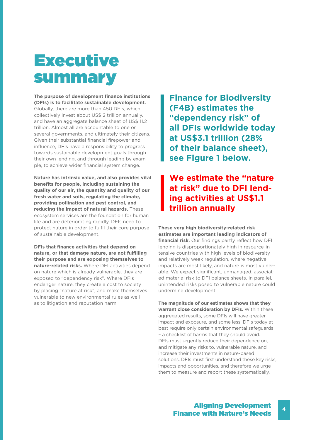# **Executive** summary

**The purpose of development finance institutions (DFIs) is to facilitate sustainable development.**  Globally, there are more than 450 DFIs, which collectively invest about US\$ 2 trillion annually, and have an aggregate balance sheet of US\$ 11.2 trillion. Almost all are accountable to one or several governments, and ultimately their citizens. Given their substantial financial firepower and influence, DFIs have a responsibility to progress towards sustainable development goals through their own lending, and through leading by example, to achieve wider financial system change.

**Nature has intrinsic value, and also provides vital benefits for people, including sustaining the quality of our air, the quantity and quality of our fresh water and soils, regulating the climate, providing pollination and pest control, and reducing the impact of natural hazards.** These ecosystem services are the foundation for human life and are deteriorating rapidly. DFIs need to protect nature in order to fulfil their core purpose of sustainable development.

**DFIs that finance activities that depend on nature, or that damage nature, are not fulfilling their purpose and are exposing themselves to nature-related risks.** Where DFI activities depend on nature which is already vulnerable, they are exposed to "dependency risk". Where DFIs endanger nature, they create a cost to society by placing "nature at risk", and make themselves vulnerable to new environmental rules as well as to litigation and reputation harm.

**Finance for Biodiversity (F4B) estimates the "dependency risk" of all DFIs worldwide today at US\$3.1 trillion (28% of their balance sheet), see Figure 1 below.** 

## **We estimate the "nature at risk" due to DFI lending activities at US\$1.1 trillion annually**

**These very high biodiversity-related risk estimates are important leading indicators of financial risk.** Our findings partly reflect how DFI lending is disproportionately high in resource-intensive countries with high levels of biodiversity and relatively weak regulation, where negative impacts are most likely, and nature is most vulnerable. We expect significant, unmanaged, associated material risk to DFI balance sheets. In parallel, unintended risks posed to vulnerable nature could undermine development.

**The magnitude of our estimates shows that they warrant close consideration by DFIs.** Within these aggregated results, some DFIs will have greater impact and exposure, and some less. DFIs today at best require only certain environmental safeguards – a checklist of harms that they should avoid. DFIs must urgently reduce their dependence on, and mitigate any risks to, vulnerable nature, and increase their investments in nature-based solutions. DFIs must first understand these key risks, impacts and opportunities, and therefore we urge them to measure and report these systematically.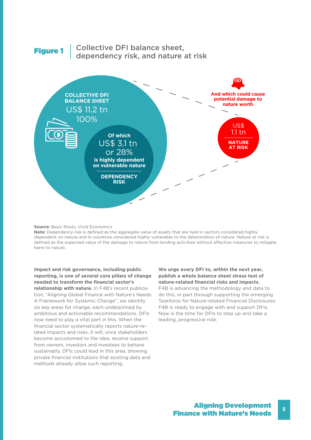

### **Source: Basic Roots, Vivid Economics**

**Note:** Dependency risk is defined as the aggregate value of assets that are held in sectors considered highly dependent on nature and in countries considered highly vulnerable to the deterioration of nature. Nature at risk is defined as the expected value of the damage to nature from lending activities without effective measures to mitigate harm to nature.

**Impact and risk governance, including public reporting, is one of several core pillars of change needed to transform the financial sector's relationship with nature.** In F4B's recent publication, "Aligning Global Finance with Nature's Needs: A Framework for Systemic Change", we identify six key areas for change, each underpinned by ambitious and actionable recommendations. DFIs now need to play a vital part in this. When the financial sector systematically reports nature-related impacts and risks, it will, once stakeholders become accustomed to the idea, receive support from owners, investors and investees to behave sustainably. DFIs could lead in this area, showing private financial institutions that existing data and methods already allow such reporting.

### **We urge every DFI to, within the next year, publish a whole balance sheet stress test of nature-related financial risks and impacts.**

F4B is advancing the methodology and data to do this, in part through supporting the emerging Taskforce for Nature-related Financial Disclosures. F4B is ready to engage with and support DFIs. Now is the time for DFIs to step up and take a leading, progressive role.

**5**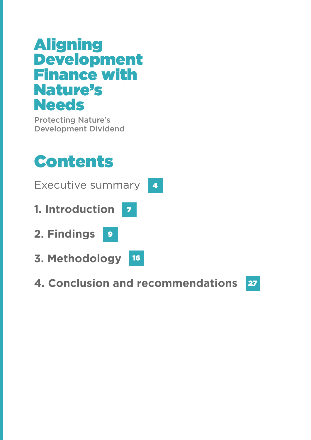## Aligning Development Finance with Nature's **Needs**

Protecting Nature's Development Dividend

# Contents

Executive summary 4 **1. Introduction 2. Findings 3. Methodology** 16 **4. Conclusion and recommendations** 7 9

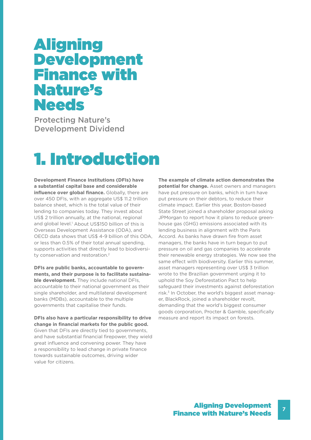## Aligning Development Finance with Nature's Needs

Protecting Nature's Development Dividend

# 1. Introduction

**Development Finance Institutions (DFIs) have a substantial capital base and considerable influence over global finance.** Globally, there are over 450 DFIs, with an aggregate US\$ 11.2 trillion balance sheet, which is the total value of their lending to companies today. They invest about US\$ 2 trillion annually, at the national, regional and global level.<sup>1</sup> About US\$150 billion of this is Overseas Development Assistance (ODA), and OECD data shows that US\$ 4-9 billion of this ODA, or less than 0.5% of their total annual spending, supports activities that directly lead to biodiversity conservation and restoration.<sup>2</sup>

**DFIs are public banks, accountable to governments, and their purpose is to facilitate sustainable development.** They include national DFIs. accountable to their national government as their single shareholder, and multilateral development banks (MDBs), accountable to the multiple governments that capitalise their funds.

**DFIs also have a particular responsibility to drive change in financial markets for the public good.**  Given that DFIs are directly tied to governments, and have substantial financial firepower, they wield great influence and convening power. They have a responsibility to lead change in private finance towards sustainable outcomes, driving wider value for citizens.

**The example of climate action demonstrates the potential for change.** Asset owners and managers have put pressure on banks, which in turn have put pressure on their debtors, to reduce their climate impact. Earlier this year, Boston-based State Street joined a shareholder proposal asking JPMorgan to report how it plans to reduce greenhouse gas (GHG) emissions associated with its lending business in alignment with the Paris Accord. As banks have drawn fire from asset managers, the banks have in turn begun to put pressure on oil and gas companies to accelerate their renewable energy strategies. We now see the same effect with biodiversity. Earlier this summer, asset managers representing over US\$ 3 trillion wrote to the Brazilian government urging it to uphold the Soy Deforestation Pact to help safeguard their investments against deforestation risk.3 In October, the world's biggest asset manager, BlackRock, joined a shareholder revolt, demanding that the world's biggest consumer goods corporation, Procter & Gamble, specifically measure and report its impact on forests.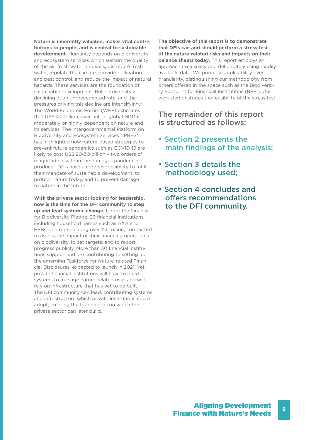**Nature is inherently valuable, makes vital contributions to people, and is central to sustainable development.** Humanity depends on biodiversity and ecosystem services which sustain the quality of the air, fresh water and soils, distribute fresh water, regulate the climate, provide pollination and pest control, and reduce the impact of natural hazards. These services are the foundation of sustainable development. But biodiversity is declining at an unprecedented rate, and the pressures driving this decline are intensifying.4 The World Economic Forum (WEF) estimates that US\$ 44 trillion, over half of global GDP, is moderately or highly dependent on nature and its services. The Intergovernmental Platform on Biodiversity and Ecosystem Services (IPBES) has highlighted how nature-based strategies to prevent future pandemics such as COVID-19 are likely to cost US\$ 20-30 billion – two orders of magnitude less than the damages pandemics produce.5 DFIs have a core responsibility to fulfil their mandate of sustainable development, to protect nature today, and to prevent damage to nature in the future.

**With the private sector looking for leadership, now is the time for the DFI community to step up and lead systemic change.** Under the Finance for Biodiversity Pledge, 26 financial institutions, including household names such as AXA and HSBC and representing over € 3 trillion, committed to assess the impact of their financing operations on biodiversity, to set targets, and to report progress publicly. More than 30 financial institutions support and are contributing to setting up the emerging Taskforce for Nature-related Financial Disclosures, expected to launch in 2021. Yet private financial institutions will have to build systems to manage nature-related risks and will rely on infrastructure that has yet to be built. The DFI community can lead, contributing systems and infrastructure which private institutions could adopt, creating the foundations on which the private sector can later build.

**The objective of this report is to demonstrate that DFIs can and should perform a stress test of the nature-related risks and impacts on their balance sheets today.** This report employs an approach exclusively and deliberately using readily available data. We prioritise applicability over granularity, distinguishing our methodology from others offered in the space such as the Biodiversity Footprint for Financial Institutions (BFFI). Our work demonstrates the feasibility of the stress test.

## The remainder of this report is structured as follows:

- Section 2 presents the main findings of the analysis;
- Section 3 details the methodology used;
- Section 4 concludes and offers recommendations to the DFI community.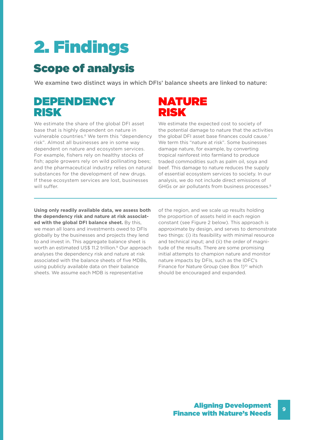# 2. Findings

## Scope of analysis

We examine two distinct ways in which DFIs' balance sheets are linked to nature:

## **DEPENDENCY** RISK

We estimate the share of the global DFI asset base that is highly dependent on nature in vulnerable countries.<sup>6</sup> We term this "dependency risk". Almost all businesses are in some way dependent on nature and ecosystem services. For example, fishers rely on healthy stocks of fish; apple growers rely on wild pollinating bees; and the pharmaceutical industry relies on natural substances for the development of new drugs. If these ecosystem services are lost, businesses will suffer.

## NATURE RISK

We estimate the expected cost to society of the potential damage to nature that the activities the global DFI asset base finances could cause.<sup>7</sup> We term this "nature at risk". Some businesses damage nature, for example, by converting tropical rainforest into farmland to produce traded commodities such as palm oil, soya and beef. This damage to nature reduces the supply of essential ecosystem services to society. In our analysis, we do not include direct emissions of GHGs or air pollutants from business processes.<sup>8</sup>

**Using only readily available data, we assess both the dependency risk and nature at risk associated with the global DFI balance sheet.** By this, we mean all loans and investments owed to DFIs globally by the businesses and projects they lend to and invest in. This aggregate balance sheet is worth an estimated US\$ 11.2 trillion.<sup>9</sup> Our approach analyses the dependency risk and nature at risk associated with the balance sheets of five MDBs, using publicly available data on their balance sheets. We assume each MDB is representative

of the region, and we scale up results holding the proportion of assets held in each region constant (see Figure 2 below). This approach is approximate by design, and serves to demonstrate two things: (i) its feasibility with minimal resource and technical input; and (ii) the order of magnitude of the results. There are some promising initial attempts to champion nature and monitor nature impacts by DFIs, such as the IDFC's Finance for Nature Group (see Box 1)<sup>10</sup> which should be encouraged and expanded.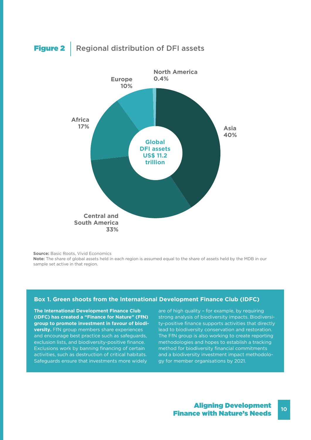## **Figure 2** Regional distribution of DFI assets



**Source: Basic Roots, Vivid Economics** 

**Note:** The share of global assets held in each region is assumed equal to the share of assets held by the MDB in our sample set active in that region.

### **Box 1. Green shoots from the International Development Finance Club (IDFC)**

**The International Development Finance Club (IDFC) has created a "Finance for Nature" (FfN) group to promote investment in favour of biodiversity.** FfN group members share experiences and encourage best practice such as safeguards, exclusion lists, and biodiversity-positive finance. Exclusions work by banning financing of certain activities, such as destruction of critical habitats. Safeguards ensure that investments more widely

are of high quality – for example, by requiring strong analysis of biodiversity impacts. Biodiversity-positive finance supports activities that directly lead to biodiversity conservation and restoration. The FfN group is also working to create reporting methodologies and hopes to establish a tracking method for biodiversity financial commitments and a biodiversity investment impact methodology for member organisations by 2021.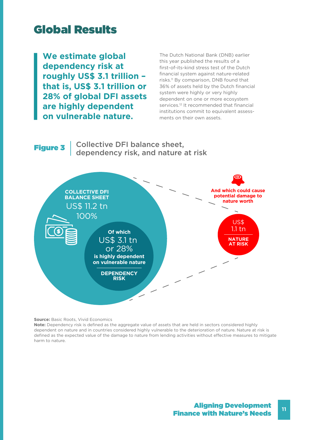## Global Results

**We estimate global dependency risk at roughly US\$ 3.1 trillion – that is, US\$ 3.1 trillion or 28% of global DFI assets are highly dependent on vulnerable nature.**

The Dutch National Bank (DNB) earlier this year published the results of a first-of-its-kind stress test of the Dutch financial system against nature-related risks.11 By comparison, DNB found that 36% of assets held by the Dutch financial system were highly or very highly dependent on one or more ecosystem services.<sup>12</sup> It recommended that financial institutions commit to equivalent assessments on their own assets.

Figure 3 Collective DFI balance sheet, dependency risk, and nature at risk



**Source: Basic Roots, Vivid Economics** 

**Note:** Dependency risk is defined as the aggregate value of assets that are held in sectors considered highly dependent on nature and in countries considered highly vulnerable to the deterioration of nature. Nature at risk is defined as the expected value of the damage to nature from lending activities without effective measures to mitigate harm to nature.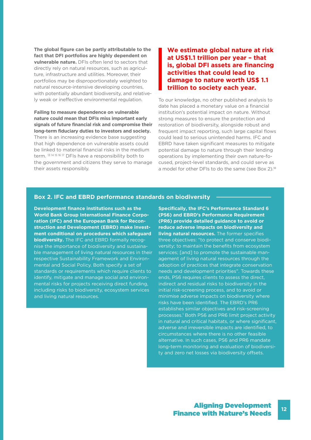**The global figure can be partly attributable to the fact that DFI portfolios are highly dependent on vulnerable nature.** DFIs often lend to sectors that directly rely on natural resources, such as agriculture, infrastructure and utilities. Moreover, their portfolios may be disproportionately weighted to natural resource-intensive developing countries, with potentially abundant biodiversity, and relatively weak or ineffective environmental regulation.

**Failing to measure dependence on vulnerable nature could mean that DFIs miss important early signals of future financial risk and compromise their long-term fiduciary duties to investors and society.** There is an increasing evidence base suggesting that high dependence on vulnerable assets could be linked to material financial risks in the medium term. 13 14 15 16 17 DFIs have a responsibility both to the government and citizens they serve to manage their assets responsibly.

## **We estimate global nature at risk at US\$1.1 trillion per year – that is, global DFI assets are financing activities that could lead to damage to nature worth US\$ 1.1 trillion to society each year.**

To our knowledge, no other published analysis to date has placed a monetary value on a financial institution's potential impact on nature. Without strong measures to ensure the protection and restoration of biodiversity, alongside robust and frequent impact reporting, such large capital flows could lead to serious unintended harms. IFC and EBRD have taken significant measures to mitigate potential damage to nature through their lending operations by implementing their own nature-focused, project-level standards, and could serve as a model for other DFIs to do the same (see Box 2).<sup>18</sup>

## **Box 2. IFC and EBRD performance standards on biodiversity**

**Development finance institutions such as the World Bank Group International Finance Corporation (IFC) and the European Bank for Reconstruction and Development (EBRD) make investment conditional on procedures which safeguard biodiversity.** The IFC and EBRD formally recognise the importance of biodiversity and sustainable management of living natural resources in their respective Sustainability Framework and Environmental and Social Policy. Both specify a set of standards or requirements which require clients to identify, mitigate and manage social and environmental risks for projects receiving direct funding, including risks to biodiversity, ecosystem services and living natural resources.

**Specifically, the IFC's Performance Standard 6 (PS6) and EBRD's Performance Requirement (PR6) provide detailed guidance to avoid or reduce adverse impacts on biodiversity and living natural resources.** The former specifies three objectives: "to protect and conserve biodiversity; to maintain the benefits from ecosystem services; [and] to promote the sustainable management of living natural resources through the adoption of practices that integrate conservation needs and development priorities". Towards these ends, PS6 requires clients to assess the direct, indirect and residual risks to biodiversity in the initial risk-screening process, and to avoid or minimise adverse impacts on biodiversity where risks have been identified. The EBRD's PR6 establishes similar objectives and risk-screening processes.<sup>1</sup> Both PS6 and PR6 limit project activity in natural and critical habitats, or where significant, adverse and irreversible impacts are identified, to circumstances where there is no other feasible alternative. In such cases, PS6 and PR6 mandate long-term monitoring and evaluation of biodiversity and zero net losses via biodiversity offsets.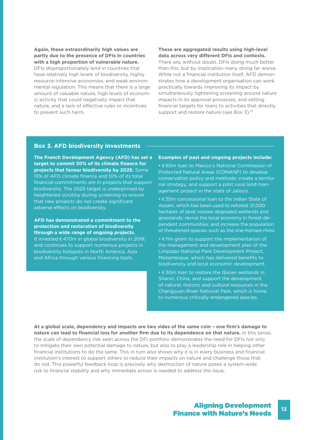**Again, these extraordinarily high values are partly due to the presence of DFIs in countries with a high proportion of vulnerable nature.** DFIs disproportionately lend in countries that have relatively high levels of biodiversity, highly resource-intensive economies, and weak environmental regulation. This means that there is a large amount of valuable nature, high levels of economic activity that could negatively impact that nature, and a lack of effective rules or incentives to prevent such harm.

### **These are aggregated results using high-level data across very different DFIs and contexts.**

There are, without doubt, DFIs doing much better than this, but by implication many doing far worse. While not a financial institution itself, AFD demonstrates how a development organisation can work practically towards improving its impact by simultaneously tightening screening around nature impacts in its approval processes, and setting financial targets for loans to activities that directly support and restore nature (see Box 3).<sup>19</sup>

## **Box 3. AFD biodiversity investments**

**The French Development Agency (AFD) has set a target to commit 30% of its climate finance for projects that favour biodiversity by 2025.** Some 15% of AFD climate finance and 10% of its total financial commitments are in projects that support biodiversity. The 2025 target is underpinned by heightened scrutiny during screening to ensure that new projects do not create significant adverse effects on biodiversity.

**AFD has demonstrated a commitment to the protection and restoration of biodiversity through a wide range of ongoing projects.** It invested €470m in global biodiversity in 2019, and continues to support numerous projects in biodiversity hotspots in North America, Asia and Africa through various financing tools.

### **Examples of past and ongoing projects include:**

• € 60m loan to Mexico's National Commission of Protected Natural Areas (CONANP) to develop conservation policy and methods; create a territorial strategy; and support a pilot rural land management project in the state of Jalisco.

• € 30m concessional loan to the Indian State of Assam, which has been used to reforest 21,000 hectares of land; restore degraded wetlands and grasslands; revive the local economy in forest-dependent communities; and increase the population of threatened species such as the one-horned rhino.

• € 11m grant to support the implementation of the management and development plan of the Limpopo National Park Development Project, Mozambique, which has delivered benefits to biodiversity and local economic development.

• € 30m loan to restore the Qixian wetlands in Shanxi, China, and support the development of natural, historic and cultural resources in the Changyuan River National Park, which is home to numerous critically endangered species.

**At a global scale, dependency and impacts are two sides of the same coin – one firm's damage to nature can lead to financial loss for another firm due to its dependence on that nature.** In this sense, the scale of dependency risk seen across the DFI portfolio demonstrates the need for DFIs not only to mitigate their own potential damage to nature, but also to play a leadership role in helping other financial institutions to do the same. This in turn also shows why it is in every business and financial institution's interest to support others to reduce their impacts on nature and challenge those that do not. This powerful feedback loop is precisely why destruction of nature poses a system-wide risk to financial stability and why immediate action is needed to address the issue.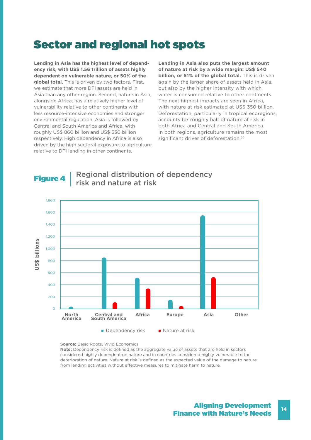## Sector and regional hot spots

**Lending in Asia has the highest level of dependency risk, with US\$ 1.56 trillion of assets highly dependent on vulnerable nature, or 50% of the global total.** This is driven by two factors. First, we estimate that more DFI assets are held in Asia than any other region. Second, nature in Asia, alongside Africa, has a relatively higher level of vulnerability relative to other continents with less resource-intensive economies and stronger environmental regulation. Asia is followed by Central and South America and Africa, with roughly US\$ 860 billion and US\$ 530 billion respectively. High dependency in Africa is also driven by the high sectoral exposure to agriculture relative to DFI lending in other continents.

**Lending in Asia also puts the largest amount of nature at risk by a wide margin: US\$ 540 billion, or 51% of the global total.** This is driven again by the larger share of assets held in Asia, but also by the higher intensity with which water is consumed relative to other continents. The next highest impacts are seen in Africa, with nature at risk estimated at US\$ 350 billion. Deforestation, particularly in tropical ecoregions, accounts for roughly half of nature at risk in both Africa and Central and South America. In both regions, agriculture remains the most significant driver of deforestation.<sup>20</sup>



## Figure 4 | Regional distribution of dependency risk and nature at risk

**Source: Basic Roots, Vivid Economics** 

**Note:** Dependency risk is defined as the aggregate value of assets that are held in sectors considered highly dependent on nature and in countries considered highly vulnerable to the deterioration of nature. Nature at risk is defined as the expected value of the damage to nature from lending activities without effective measures to mitigate harm to nature.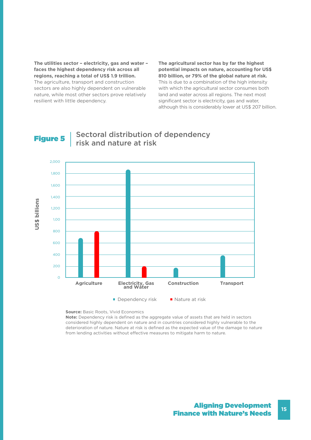**The utilities sector – electricity, gas and water – faces the highest dependency risk across all regions, reaching a total of US\$ 1.9 trillion.** The agriculture, transport and construction sectors are also highly dependent on vulnerable nature, while most other sectors prove relatively resilient with little dependency.

**The agricultural sector has by far the highest potential impacts on nature, accounting for US\$ 810 billion, or 79% of the global nature at risk.**  This is due to a combination of the high intensity with which the agricultural sector consumes both land and water across all regions. The next most significant sector is electricity, gas and water, although this is considerably lower at US\$ 207 billion.

## 2,000 1,800 1,600 1,400 JS\$ billions **US\$ billions** 1,200 1,00  $800$ 600 400 200  $\overline{0}$ **Agriculture Electricity, Gas Construction Transport and Water** Dependency risk  $\blacksquare$  Nature at risk

## **Figure 5** Sectoral distribution of dependency risk and nature at risk

### **Source: Basic Roots, Vivid Economics**

**Note:** Dependency risk is defined as the aggregate value of assets that are held in sectors considered highly dependent on nature and in countries considered highly vulnerable to the deterioration of nature. Nature at risk is defined as the expected value of the damage to nature from lending activities without effective measures to mitigate harm to nature.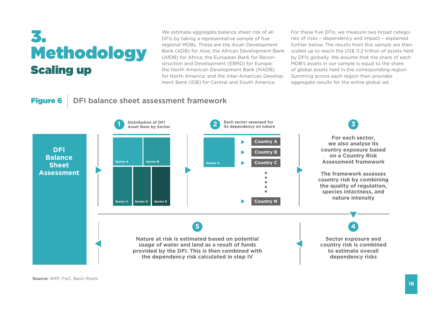## 3. Methodology Scaling up

We estimate aggregate balance sheet risk of all DFIs by taking a representative sample of five regional MDBs. These are the Asian Development Bank (ADB) for Asia; the African Development Bank (AfDB) for Africa; the European Bank for Reconstruction and Development (EBRD) for Europe; the North American Development Bank (NADB) for North America; and the Inter-American Development Bank (IDB) for Central and South America.

For these five DFIs, we measure two broad categories of risks – dependency and impact – explained further below. The results from this sample are then scaled up to reach the US\$ 11.2 trillion of assets held by DFIs globally. We assume that the share of each MDB's assets in our sample is equal to the share of global assets held in the corresponding region. Summing across each region then provides aggregate results for the entire global set.

## **Figure 6** DFI balance sheet assessment framework

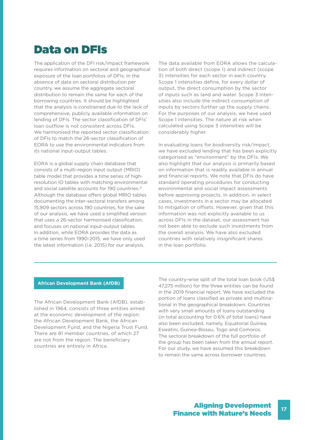## Data on DFIs

The application of the DFI risk/impact framework requires information on sectoral and geographical exposure of the loan portfolios of DFIs. In the absence of data on sectoral distribution per country, we assume the aggregate sectoral distribution to remain the same for each of the borrowing countries. It should be highlighted that the analysis is constrained due to the lack of comprehensive, publicly available information on lending of DFIs. The sector classification of DFIs' loan outflow is not consistent across DFIs. We harmonised the reported sector classification of DFIs to match the 26-sector classification of EORA to use the environmental indicators from its national input-output tables.

EORA is a global supply chain database that consists of a multi-region input output (MRIO) table model that provides a time series of highresolution IO tables with matching environmental and social satellite accounts for 190 countries.<sup>21</sup> Although the database offers global MRIO tables documenting the inter-sectoral transfers among 15,909 sectors across 190 countries, for the sake of our analysis, we have used a simplified version that uses a 26-sector harmonised classification, and focuses on national input-output tables. In addition, while EORA provides the data as a time series from 1990-2015, we have only used the latest information (i.e. 2015) for our analysis.

The data available from EORA allows the calculation of both direct (scope 1) and indirect (scope 3) intensities for each sector in each country. Scope 1 intensities define, for every dollar of output, the direct consumption by the sector of inputs such as land and water. Scope 3 intensities also include the indirect consumption of inputs by sectors further up the supply chains. For the purposes of our analysis, we have used Scope 1 intensities. The nature at risk when calculated using Scope 3 intensities will be considerably higher.

In evaluating loans for biodiversity risk/impact, we have excluded lending that has been explicitly categorised as "environment" by the DFIs. We also highlight that our analysis is primarily based on information that is readily available in annual and financial reports. We note that DFIs do have standard operating procedures for conducting environmental and social impact assessments before approving projects. In addition, in select cases, investments in a sector may be allocated to mitigation or offsets. However, given that this information was not explicitly available to us across DFIs in the dataset, our assessment has not been able to exclude such investments from the overall analysis. We have also excluded countries with relatively insignificant shares in the loan portfolio.

## **African Development Bank (AfDB)**

The African Development Bank (AfDB), established in 1964, consists of three entities aimed at the economic development of the region: the African Development Bank, the African Development Fund, and the Nigeria Trust Fund. There are 81 member countries, of which 27 are not from the region. The beneficiary countries are entirely in Africa.

The country-wise split of the total loan book (US\$ 47,275 million) for the three entities can be found in the 2019 financial report. We have excluded the portion of loans classified as private and multinational in the geographical breakdown. Countries with very small amounts of loans outstanding (in total accounting for 0.6% of total loans) have also been excluded, namely, Equatorial Guinea, Eswatini, Guinea-Bissau, Togo and Comoros. The sectoral breakdown of the full portfolio of the group has been taken from the annual report. For our study, we have assumed this breakdown to remain the same across borrower countries.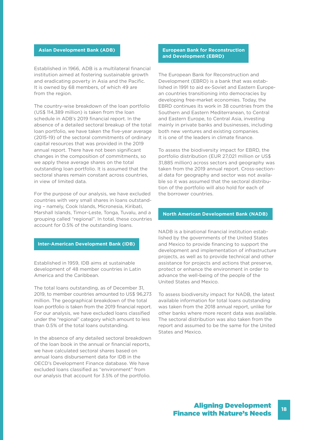## **Asian Development Bank (ADB)**

Established in 1966, ADB is a multilateral financial institution aimed at fostering sustainable growth and eradicating poverty in Asia and the Pacific. It is owned by 68 members, of which 49 are from the region.

The country-wise breakdown of the loan portfolio (US\$ 114,389 million) is taken from the loan schedule in ADB's 2019 financial report. In the absence of a detailed sectoral breakup of the total loan portfolio, we have taken the five-year average (2015-19) of the sectoral commitments of ordinary capital resources that was provided in the 2019 annual report. There have not been significant changes in the composition of commitments, so we apply these average shares on the total outstanding loan portfolio. It is assumed that the sectoral shares remain constant across countries, in view of limited data.

For the purpose of our analysis, we have excluded countries with very small shares in loans outstanding – namely, Cook Islands, Micronesia, Kiribati, Marshall Islands, Timor-Leste, Tonga, Tuvalu, and a grouping called "regional". In total, these countries account for 0.5% of the outstanding loans.

### **Inter-American Development Bank (IDB)**

Established in 1959, IDB aims at sustainable development of 48 member countries in Latin America and the Caribbean.

The total loans outstanding, as of December 31, 2019, to member countries amounted to US\$ 96,273 million. The geographical breakdown of the total loan portfolio is taken from the 2019 financial report. For our analysis, we have excluded loans classified under the "regional" category which amount to less than 0.5% of the total loans outstanding.

In the absence of any detailed sectoral breakdown of the loan book in the annual or financial reports, we have calculated sectoral shares based on annual loans disbursement data for IDB in the OECD's Development Finance database. We have excluded loans classified as "environment" from our analysis that account for 3.5% of the portfolio.

### **European Bank for Reconstruction and Development (EBRD)**

The European Bank for Reconstruction and Development (EBRD) is a bank that was established in 1991 to aid ex-Soviet and Eastern European countries transitioning into democracies by developing free-market economies. Today, the EBRD continues its work in 38 countries from the Southern and Eastern Mediterranean, to Central and Eastern Europe, to Central Asia, investing mainly in private banks and businesses, including both new ventures and existing companies. It is one of the leaders in climate finance.

To assess the biodiversity impact for EBRD, the portfolio distribution (EUR 27,021 million or US\$ 31,885 million) across sectors and geography was taken from the 2019 annual report. Cross-sectional data for geography and sector was not available so it was assumed that the sectoral distribution of the portfolio will also hold for each of the borrower countries.

### **North American Development Bank (NADB)**

NADB is a binational financial institution established by the governments of the United States and Mexico to provide financing to support the development and implementation of infrastructure projects, as well as to provide technical and other assistance for projects and actions that preserve, protect or enhance the environment in order to advance the well-being of the people of the United States and Mexico.

To assess biodiversity impact for NADB, the latest available information for total loans outstanding was taken from the 2018 annual report, unlike for other banks where more recent data was available. The sectoral distribution was also taken from the report and assumed to be the same for the United States and Mexico.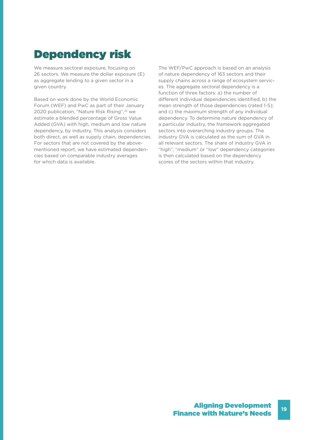## Dependency risk

We measure sectoral exposure, focusing on 26 sectors. We measure the dollar exposure (E) as aggregate lending to a given sector in a given country.

Based on work done by the World Economic Forum (WEF) and PwC as part of their January 2020 publication, "Nature Risk Rising",22 we estimate a blended percentage of Gross Value Added (GVA) with high, medium and low nature dependency, by industry. This analysis considers both direct, as well as supply chain, dependencies. For sectors that are not covered by the abovementioned report, we have estimated dependencies based on comparable industry averages for which data is available.

The WEF/PwC approach is based on an analysis of nature dependency of 163 sectors and their supply chains across a range of ecosystem services. The aggregate sectoral dependency is a function of three factors: a) the number of different individual dependencies identified; b) the mean strength of those dependencies (rated 1-5); and c) the maximum strength of any individual dependency. To determine nature dependency of a particular industry, the framework aggregated sectors into overarching industry groups. The industry GVA is calculated as the sum of GVA in all relevant sectors. The share of industry GVA in "high", "medium" or "low" dependency categories is then calculated based on the dependency scores of the sectors within that industry.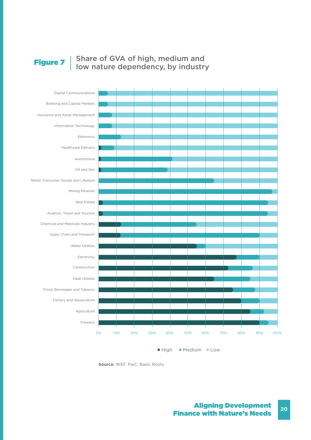## Figure 7 Share of GVA of high, medium and<br>low nature dependency, by industry





## **Aligning Development** 20 Finance with Nature's Needs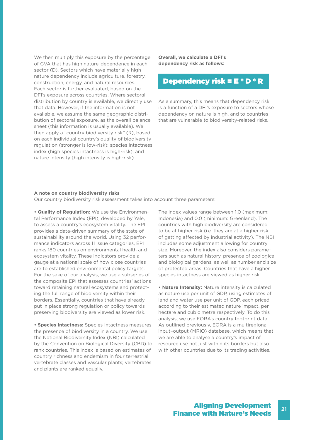We then multiply this exposure by the percentage of GVA that has high nature-dependence in each sector (D). Sectors which have materially high nature dependency include agriculture, forestry, construction, energy, and natural resources. Each sector is further evaluated, based on the DFI's exposure across countries. Where sectoral distribution by country is available, we directly use that data. However, if the information is not available, we assume the same geographic distribution of sectoral exposure, as the overall balance sheet (this information is usually available). We then apply a "country biodiversity risk" (R), based on each individual country's quality of biodiversity regulation (stronger is low-risk); species intactness index (high species intactness is high-risk); and nature intensity (high intensity is high-risk).

**Overall, we calculate a DFI's dependency risk as follows:** 

## Dependency risk = E \* D \* R

As a summary, this means that dependency risk is a function of a DFI's exposure to sectors whose dependency on nature is high, and to countries that are vulnerable to biodiversity-related risks.

### **A note on country biodiversity risks**

Our country biodiversity risk assessment takes into account three parameters:

**• Quality of Regulation:** We use the Environmental Performance Index (EPI), developed by Yale, to assess a country's ecosystem vitality. The EPI provides a data-driven summary of the state of sustainability around the world. Using 32 performance indicators across 11 issue categories, EPI ranks 180 countries on environmental health and ecosystem vitality. These indicators provide a gauge at a national scale of how close countries are to established environmental policy targets. For the sake of our analysis, we use a subseries of the composite EPI that assesses countries' actions toward retaining natural ecosystems and protecting the full range of biodiversity within their borders. Essentially, countries that have already put in place strong regulation or policy towards preserving biodiversity are viewed as lower risk.

**• Species Intactness:** Species Intactness measures the presence of biodiversity in a country. We use the National Biodiversity Index (NBI) calculated by the Convention on Biological Diversity (CBD) to rank countries. This index is based on estimates of country richness and endemism in four terrestrial vertebrate classes and vascular plants; vertebrates and plants are ranked equally.

The index values range between 1.0 (maximum: Indonesia) and 0.0 (minimum: Greenland). The countries with high biodiversity are considered to be at higher risk (i.e. they are at a higher risk of getting affected by industrial activity). The NBI includes some adjustment allowing for country size. Moreover, the index also considers parameters such as natural history, presence of zoological and biological gardens, as well as number and size of protected areas. Countries that have a higher species intactness are viewed as higher risk.

**• Nature Intensity:** Nature intensity is calculated as nature use per unit of GDP, using estimates of land and water use per unit of GDP, each priced according to their estimated nature impact, per hectare and cubic metre respectively. To do this analysis, we use EORA's country footprint data. As outlined previously, EORA is a multiregional input–output (MRIO) database, which means that we are able to analyse a country's impact of resource use not just within its borders but also with other countries due to its trading activities.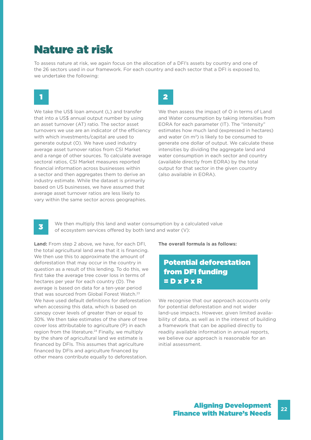## Nature at risk

To assess nature at risk, we again focus on the allocation of a DFI's assets by country and one of the 26 sectors used in our framework. For each country and each sector that a DFI is exposed to, we undertake the following:

We take the US\$ loan amount (L) and transfer that into a US\$ annual output number by using an asset turnover (AT) ratio. The sector asset turnovers we use are an indicator of the efficiency with which investments/capital are used to generate output (O). We have used industry average asset turnover ratios from CSI Market and a range of other sources. To calculate average sectoral ratios, CSI Market measures reported financial information across businesses within a sector and then aggregates them to derive an industry estimate. While the dataset is primarily based on US businesses, we have assumed that average asset turnover ratios are less likely to vary within the same sector across geographies.

## 1 2

We then assess the impact of O in terms of Land and Water consumption by taking intensities from EORA for each parameter (IT). The "intensity" estimates how much land (expressed in hectares) and water (in  $m<sup>3</sup>$ ) is likely to be consumed to generate one dollar of output. We calculate these intensities by dividing the aggregate land and water consumption in each sector and country (available directly from EORA) by the total output for that sector in the given country (also available in EORA).

## 3

We then multiply this land and water consumption by a calculated value of ecosystem services offered by both land and water (V):

**Land:** From step 2 above, we have, for each DFI, the total agricultural land area that it is financing. We then use this to approximate the amount of deforestation that may occur in the country in question as a result of this lending. To do this, we first take the average tree cover loss in terms of hectares per year for each country (D). The average is based on data for a ten-year period that was sourced from Global Forest Watch.23 We have used default definitions for deforestation when accessing this data, which is based on canopy cover levels of greater than or equal to 30%. We then take estimates of the share of tree cover loss attributable to agriculture (P) in each region from the literature.<sup>24</sup> Finally, we multiply by the share of agricultural land we estimate is financed by DFIs. This assumes that agriculture financed by DFIs and agriculture financed by other means contribute equally to deforestation.

**The overall formula is as follows:** 

## Potential deforestation from DFI funding  $= D x P x R$

We recognise that our approach accounts only for potential deforestation and not wider land-use impacts. However, given limited availability of data, as well as in the interest of building a framework that can be applied directly to readily available information in annual reports, we believe our approach is reasonable for an initial assessment.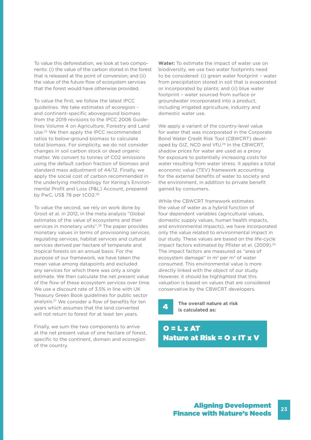To value this deforestation, we look at two components: (i) the value of the carbon stored in the forest that is released at the point of conversion; and (ii) the value of the future flow of ecosystem services that the forest would have otherwise provided.

To value the first, we follow the latest IPCC guidelines. We take estimates of ecoregion and continent-specific aboveground biomass from the 2019 revisions to the IPCC 2006 Guidelines Volume 4 on Agriculture, Forestry and Land Use.25 We then apply the IPCC recommended ratios to below-ground biomass to calculate total biomass. For simplicity, we do not consider changes in soil carbon stock or dead organic matter. We convert to tonnes of CO2 emissions using the default carbon fraction of biomass and standard mass adjustment of 44/12. Finally, we apply the social cost of carbon recommended in the underlying methodology for Kering's Environmental Profit and Loss (P&L) Account, prepared by PwC, US\$ 78 per tCO2.26

To value the second, we rely on work done by Groot et al. in 2012, in the meta analysis "Global estimates of the value of ecosystems and their services in monetary units".<sup>28</sup> The paper provides monetary values in terms of provisioning services, regulating services, habitat services and cultural services derived per hectare of temperate and tropical forests on an annual basis. For the purpose of our framework, we have taken the mean value among datapoints and excluded any services for which there was only a single estimate. We then calculate the net present value of the flow of these ecosystem services over time. We use a discount rate of 3.5% in line with UK Treasury Green Book guidelines for public sector analysis.27 We consider a flow of benefits for ten years which assumes that the land converted will not return to forest for at least ten years.

Finally, we sum the two components to arrive at the net present value of one hectare of forest, specific to the continent, domain and ecoregion of the country.

**Water:** To estimate the impact of water use on biodiversity, we use two water footprints need to be considered: (i) green water footprint – water from precipitation stored in soil that is evaporated or incorporated by plants; and (ii) blue water footprint – water sourced from surface or groundwater incorporated into a product, including irrigated agriculture, industry and domestic water use.

We apply a variant of the country-level value for water that was incorporated in the Corporate Bond Water Credit Risk Tool (CBWCRT) developed by GIZ, NCD and VfU.29 In the CBWCRT, shadow prices for water are used as a proxy for exposure to potentially increasing costs for water resulting from water stress. It applies a total economic value (TEV) framework accounting for the external benefits of water to society and the environment, in addition to private benefit gained by consumers.

While the CBWCRT framework estimates the value of water as a hybrid function of four dependent variables (agricultural values, domestic supply values, human health impacts, and environmental impacts), we have incorporated only the value related to environmental impact in our study. These values are based on the life-cycle impact factors estimated by Pfister et el. (2009).<sup>30</sup> The impact factors are measured as "area of ecosystem damage" in  $m<sup>2</sup>$  per  $m<sup>3</sup>$  of water consumed. This environmental value is more directly linked with the object of our study. However, it should be highlighted that this valuation is based on values that are considered conservative by the CBWCRT developers.

## 4

**The overall nature at risk is calculated as:**

 $O = L \times AT$ Nature at Risk = O x IT x V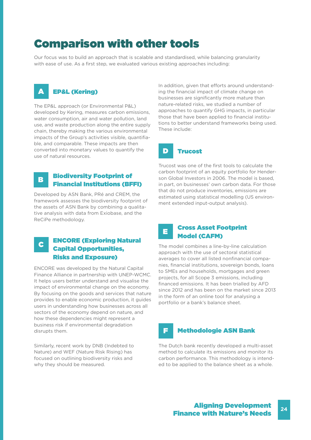## Comparison with other tools

Our focus was to build an approach that is scalable and standardised, while balancing granularity with ease of use. As a first step, we evaluated various existing approaches including:

### A EP&L (Kering)

The EP&L approach (or Environmental P&L) developed by Kering, measures carbon emissions, water consumption, air and water pollution, land use, and waste production along the entire supply chain, thereby making the various environmental impacts of the Group's activities visible, quantifiable, and comparable. These impacts are then converted into monetary values to quantify the use of natural resources.

### B Biodiversity Footprint of Financial Institutions (BFFI)

Developed by ASN Bank, PRé and CREM, the framework assesses the biodiversity footprint of the assets of ASN Bank by combining a qualitative analysis with data from Exiobase, and the ReCiPe methodology.

### C ENCORE (Exploring Natural Capital Opportunities, Risks and Exposure)

ENCORE was developed by the Natural Capital Finance Alliance in partnership with UNEP-WCMC. It helps users better understand and visualise the impact of environmental change on the economy. By focusing on the goods and services that nature provides to enable economic production, it guides users in understanding how businesses across all sectors of the economy depend on nature, and how these dependencies might represent a business risk if environmental degradation disrupts them.

Similarly, recent work by DNB (Indebted to Nature) and WEF (Nature Risk Rising) has focused on outlining biodiversity risks and why they should be measured.

In addition, given that efforts around understanding the financial impact of climate change on businesses are significantly more mature than nature-related risks, we studied a number of approaches to quantify GHG impacts, in particular those that have been applied to financial institutions to better understand frameworks being used. These include:



Trucost was one of the first tools to calculate the carbon footprint of an equity portfolio for Henderson Global Investors in 2006. The model is based, in part, on businesses' own carbon data. For those that do not produce inventories, emissions are estimated using statistical modelling (US environment extended input-output analysis).

### E Cross Asset Footprint Model (CAFM)

The model combines a line-by-line calculation approach with the use of sectoral statistical averages to cover all listed nonfinancial companies, financial institutions, sovereign bonds, loans to SMEs and households, mortgages and green projects, for all Scope 3 emissions, including financed emissions. It has been trialled by AFD since 2012 and has been on the market since 2013 in the form of an online tool for analysing a portfolio or a bank's balance sheet.



## Methodologie ASN Bank

The Dutch bank recently developed a multi-asset method to calculate its emissions and monitor its carbon performance. This methodology is intended to be applied to the balance sheet as a whole.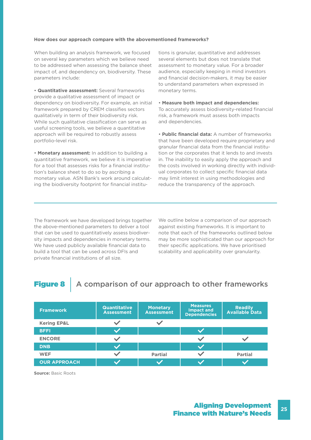### **How does our approach compare with the abovementioned frameworks?**

When building an analysis framework, we focused on several key parameters which we believe need to be addressed when assessing the balance sheet impact of, and dependency on, biodiversity. These parameters include:

• **Quantitative assessment:** Several frameworks provide a qualitative assessment of impact or dependency on biodiversity. For example, an initial framework prepared by CREM classifies sectors qualitatively in term of their biodiversity risk. While such qualitative classification can serve as useful screening tools, we believe a quantitative approach will be required to robustly assess portfolio-level risk.

• **Monetary assessment:** In addition to building a quantitative framework, we believe it is imperative for a tool that assesses risks for a financial institution's balance sheet to do so by ascribing a monetary value. ASN Bank's work around calculating the biodiversity footprint for financial institu-

tions is granular, quantitative and addresses several elements but does not translate that assessment to monetary value. For a broader audience, especially keeping in mind investors and financial decision-makers, it may be easier to understand parameters when expressed in monetary terms.

## • **Measure both impact and dependencies:** To accurately assess biodiversity-related financial

risk, a framework must assess both impacts and dependencies.

• **Public financial data:** A number of frameworks that have been developed require proprietary and granular financial data from the financial institution or the corporates that it lends to and invests in. The inability to easily apply the approach and the costs involved in working directly with individual corporates to collect specific financial data may limit interest in using methodologies and reduce the transparency of the approach.

The framework we have developed brings together the above-mentioned parameters to deliver a tool that can be used to quantitatively assess biodiversity impacts and dependencies in monetary terms. We have used publicly available financial data to build a tool that can be used across DFIs and private financial institutions of all size.

We outline below a comparison of our approach against existing frameworks. It is important to note that each of the frameworks outlined below may be more sophisticated than our approach for their specific applications. We have prioritised scalability and applicability over granularity.

## Figure 8 | A comparison of our approach to other frameworks

| <b>Framework</b>       | <b>Quantitative</b><br><b>Assessment</b> | <b>Monetary</b><br><b>Assessment</b> | <b>Measures</b><br><b>Impact and</b><br><b>Dependencies</b> | <b>Readily</b><br><b>Available Data</b> |
|------------------------|------------------------------------------|--------------------------------------|-------------------------------------------------------------|-----------------------------------------|
| <b>Kering EP&amp;L</b> |                                          |                                      |                                                             |                                         |
| <b>BFFI</b>            |                                          |                                      |                                                             |                                         |
| <b>ENCORE</b>          |                                          |                                      |                                                             |                                         |
| <b>DNB</b>             |                                          |                                      |                                                             |                                         |
| <b>WEF</b>             |                                          | <b>Partial</b>                       |                                                             | <b>Partial</b>                          |
| <b>OUR APPROACH</b>    |                                          |                                      |                                                             |                                         |

**Source:** Basic Roots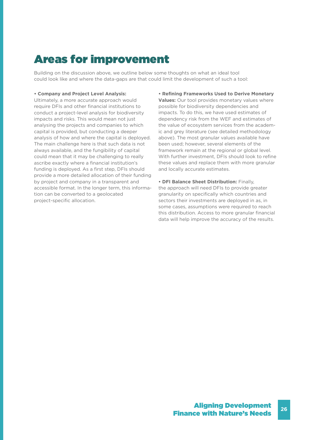## Areas for improvement

Building on the discussion above, we outline below some thoughts on what an ideal tool could look like and where the data-gaps are that could limit the development of such a tool:

### **• Company and Project Level Analysis:**

Ultimately, a more accurate approach would require DFIs and other financial institutions to conduct a project-level analysis for biodiversity impacts and risks. This would mean not just analysing the projects and companies to which capital is provided, but conducting a deeper analysis of how and where the capital is deployed. The main challenge here is that such data is not always available, and the fungibility of capital could mean that it may be challenging to really ascribe exactly where a financial institution's funding is deployed. As a first step, DFIs should provide a more detailed allocation of their funding by project and company in a transparent and accessible format. In the longer term, this information can be converted to a geolocated project-specific allocation.

### **• Refining Frameworks Used to Derive Monetary**

**Values:** Our tool provides monetary values where possible for biodiversity dependencies and impacts. To do this, we have used estimates of dependency risk from the WEF and estimates of the value of ecosystem services from the academic and grey literature (see detailed methodology above). The most granular values available have been used; however, several elements of the framework remain at the regional or global level. With further investment, DFIs should look to refine these values and replace them with more granular and locally accurate estimates.

**• DFI Balance Sheet Distribution:** Finally, the approach will need DFIs to provide greater granularity on specifically which countries and sectors their investments are deployed in as, in some cases, assumptions were required to reach this distribution. Access to more granular financial data will help improve the accuracy of the results.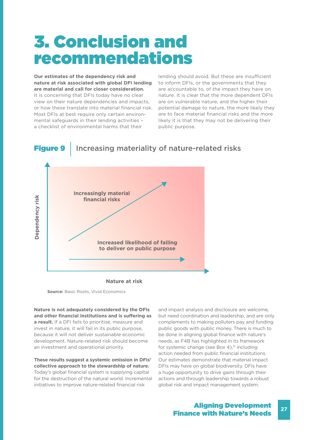# 3. Conclusion and recommendations

**Our estimates of the dependency risk and nature at risk associated with global DFI lending are material and call for closer consideration.** It is concerning that DFIs today have no clear view on their nature dependencies and impacts, or how these translate into material financial risk. Most DFIs at best require only certain environmental safeguards in their lending activities – a checklist of environmental harms that their

lending should avoid. But these are insufficient to inform DFIs, or the governments that they are accountable to, of the impact they have on nature. It is clear that the more dependent DFIs are on vulnerable nature, and the higher their potential damage to nature, the more likely they are to face material financial risks and the more likely it is that they may not be delivering their public purpose.

## Figure 9 | Increasing materiality of nature-related risks



**Nature at risk**

**Source: Basic Roots, Vivid Economics** 

**Nature is not adequately considered by the DFIs and other financial institutions and is suffering as a result.** If a DFI fails to prioritise, measure and invest in nature, it will fail in its public purpose, because it will not deliver sustainable economic development. Nature-related risk should become an investment and operational priority.

**These results suggest a systemic omission in DFIs' collective approach to the stewardship of nature.**  Today's global financial system is supplying capital for the destruction of the natural world. Incremental initiatives to improve nature-related financial risk

and impact analysis and disclosure are welcome, but need coordination and leadership, and are only complements to making polluters pay and funding public goods with public money. There is much to be done in aligning global finance with nature's needs, as F4B has highlighted in its framework for systemic change (see Box 4), $31$  including action needed from public financial institutions. Our estimates demonstrate that material impact DFIs may have on global biodiversity. DFIs have a huge opportunity to drive gains through their actions and through leadership towards a robust global risk and impact management system.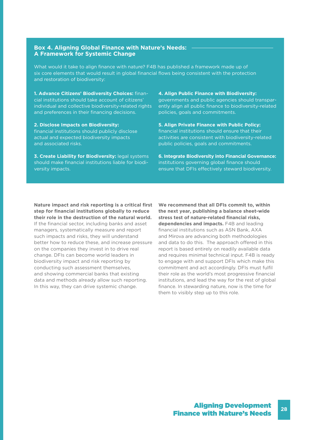## **Box 4. Aligning Global Finance with Nature's Needs: A Framework for Systemic Change**

What would it take to align finance with nature? F4B has published a framework made up of six core elements that would result in global financial flows being consistent with the protection and restoration of biodiversity:

**1. Advance Citizens' Biodiversity Choices:** financial institutions should take account of citizens' individual and collective biodiversity-related rights and preferences in their financing decisions.

### **2. Disclose Impacts on Biodiversity:** financial institutions should publicly disclose actual and expected biodiversity impacts and associated risks.

**3. Create Liability for Biodiversity:** legal systems should make financial institutions liable for biodiversity impacts.

### **4. Align Public Finance with Biodiversity:**

governments and public agencies should transparently align all public finance to biodiversity-related policies, goals and commitments.

**5. Align Private Finance with Public Policy:**  financial institutions should ensure that their activities are consistent with biodiversity-related public policies, goals and commitments.

**6. Integrate Biodiversity into Financial Governance:**  institutions governing global finance should ensure that DFIs effectively steward biodiversity.

**Nature impact and risk reporting is a critical first step for financial institutions globally to reduce their role in the destruction of the natural world.** If the financial sector, including banks and asset managers, systematically measure and report such impacts and risks, they will understand better how to reduce these, and increase pressure on the companies they invest in to drive real change. DFIs can become world leaders in biodiversity impact and risk reporting by conducting such assessment themselves, and showing commercial banks that existing data and methods already allow such reporting. In this way, they can drive systemic change.

**We recommend that all DFIs commit to, within the next year, publishing a balance sheet-wide stress test of nature-related financial risks, dependencies and impacts.** F4B and leading financial institutions such as ASN Bank, AXA and Mirova are advancing both methodologies and data to do this. The approach offered in this report is based entirely on readily available data and requires minimal technical input. F4B is ready to engage with and support DFIs which make this commitment and act accordingly. DFIs must fulfil their role as the world's most progressive financial institutions, and lead the way for the rest of global finance. In stewarding nature, now is the time for them to visibly step up to this role.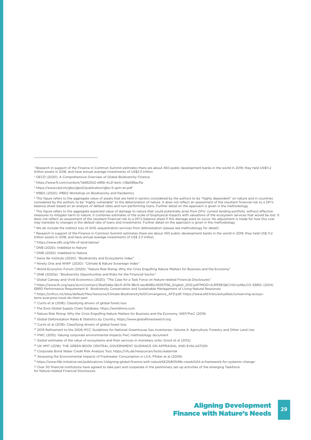19 https://unfccc.int/sites/default/files/resource/Climate-Biodiversity%20Convergence\_AFD.pdf; https://www.afd.fr/en/actualites/conserving-ecosystems-everyone-must-do-their-part

## **<sup>29</sup>** Aligning Development Finance with Nature's Needs

<sup>&</sup>lt;sup>1</sup> Research in support of the Finance in Common Summit estimates there are about 450 public development banks in the world in 2019, they held US\$11.2<br>trillion assets in 2018, and have annual average investments of US\$2.3

<sup>2</sup> OECD (2020): A Comprehensive Overview of Global Biodiversity Finance

<sup>3</sup> https://www.ft.com/content/1dd92502-e95b-4c21-be1c-c18a598acf1a

<sup>4</sup> https://www.cbd.int/gbo/gbo5/publication/gbo-5-spm-en.pdf

<sup>5</sup> IPBES (2020): IPBES Workshop on Biodiversity and Pandemics

<sup>&</sup>lt;sup>6</sup> This figure refers to the aggregate value of assets that are held in sectors considered by the authors to be "highly dependent" on nature and in countries<br>considered by the authors to be "highly vulnerable" to the dete balance sheet based on an analysis of default rates and non-performing loans. Further detail on the approach is given in the methodology.

<sup>&</sup>lt;sup>7</sup> This figure refers to the aggregate expected value of damage to nature that could potentially arise from DFIs' current lending portfolio, without effective measures to mitigate harm to nature. It combines estimates of the scale of biophysical impacts with valuations of the ecosystem services that would be lost. It<br>does not reflect an assessment of the resultant financial risk may translate to changes in the default rate of loans and investments. Further detail on the approach is given in the methodology.

<sup>&</sup>lt;sup>8</sup> We do include the indirect loss of GHG sequestration services from deforestation (please see methodology for detail).

<sup>9</sup> Research in support of the Finance in Common Summit estimates there are about 450 public development banks in the world in 2019, they held US\$ 11.2. trillion assets in 2018, and have annual average investments of US\$ 2.3 trillion.

<sup>10</sup> https://www.idfc.org/life-of-land-below/

<sup>11</sup> DNB (2020): Indebted to Nature

<sup>12</sup> DNB (2020): Indebted to Nature

<sup>&</sup>lt;sup>13</sup> Swiss Re Institute (2020): "Biodiversity and Ecosystems Index"

<sup>14</sup> Ninety One and WWF (2020): "Climate & Nature Sovereign Index"

<sup>15</sup> World Economic Forum (2020): "Nature Risk Rising: Why the Crisis Engulfing Nature Matters for Business and the Economy"

<sup>16</sup> DNB (2020a): "Biodiversity Opportunities and Risks for the Financial Sector"

<sup>&</sup>lt;sup>17</sup> Global Canopy and Vivid Economics (2020): "The Case for a Task Force on Nature-related Financial Disclosures"

<sup>18</sup> https://www.ifc.org/wps/wcm/connect/3baf2a6a-2bc5-4174-96c5-eec8085c455f/PS6\_English\_2012.pdf?MOD=AJPERES&CVID=jxNbLC0; EBRD. (2014). EBRD Performance Requirement 6: Biodiversity Conservation and Sustainable Management of Living Natural Resources

<sup>20</sup> Curtis et al (2018): Classifying drivers of global forest loss

<sup>21</sup> The Eora Global Supply Chain Database, https://worldmrio.com

<sup>22</sup> Nature Risk Rising: Why the Crisis Engulfing Nature Matters for Business and the Economy, WEF/PwC (2019)

<sup>23</sup> Global Deforestation Rates & Statistics by Country, https://www.globalforestwatch.org

<sup>24</sup> Curtis et al (2018): Classifying drivers of global forest loss

<sup>&</sup>lt;sup>25</sup> 2019 Refinement to the 2006 IPCC Guidelines for National Greenhouse Gas Inventories: Volume 4: Agriculture, Forestry and Other Land Use

<sup>26</sup> PWC (2015): Valuing corporate environmental impacts PwC methodology document

<sup>27</sup> Global estimates of the value of ecosystems and their services in monetary units, Groot et al (2012)

<sup>28</sup> UK HMT (2018): THE GREEN BOOK CENTRAL GOVERNMENT GUIDANCE ON APPRAISAL AND EVALUATION

<sup>29</sup> Corporate Bond Water Credit Risk Analysis Tool, https://vfu.de/ressourcen/tools/waterrisk

<sup>30</sup> Assessing the Environmental Impacts of Freshwater Consumption in LCA, Pfister et al (2009)

<sup>31</sup> https://www.f4b-initiative.net/publications-1/aligning-global-finance-with-nature%E2%80%99s-needs%3A-a-framework-for-systemic-change-

<sup>32</sup> Over 30 financial institutions have agreed to take part and cooperate in the preliminary set-up activities of the emerging Taskforce for Nature-related Financial Disclosures.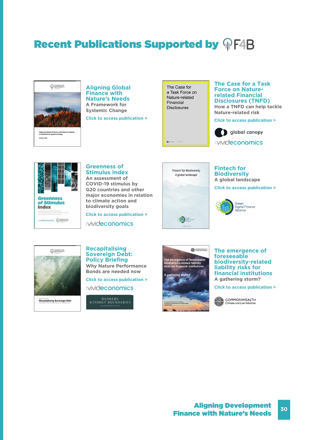## **Recent Publications Supported by PF4B**



**[Aligning Global](https://www.f4b-initiative.net/publications-1/aligning-global-finance-with-nature%E2%80%99s-needs%3A-a-framework-for-systemic-change-)  Finance with Nature's Needs A Framework for Systemic Change**

**Click to access publication >**

The Case for a Task Force on Nature-related Financial **Disclosures** 

### **[The Case for a Task](https://www.f4b-initiative.net/publications-1/the-case-for-a-task-force-on-nature-related-financial-disclosures)  Force on Naturerelated Financial Disclosures (TNFD) How a TNFD can help tackle**

**Nature-related risk**

**Click to access publication >**



:vivideconomics



:Vivideconomics <a>
FINANCE FOR

### **Greenness of Stimulus Index**

**An assessment of COVID-19 stimulus by G20 countries and other [major economies in relation](https://www.f4b-initiative.net/publications-1/third-edition--greenness-of-stimulus-index) to climate action and biodiversity goals**

**Click to access publication >**

:vivideconomics



**Fintech for Biodiversity A global landscape**

**[Click to access publication >](https://www.f4b-initiative.net/publications-1/fintech-for-biodiversity%3A-a-global-landscape-)**





Recapitalising Sovereign Debt

**Recapitalising Sovereign Debt: Policy Briefing [Why Nature Performance](https://www.f4b-initiative.net/publications-1/-recapitalising-sovereign-debt%3A-policy-briefing)  Bonds are needed now Click to access publication >** :vivideconomics





### **The emergence of foreseeable [biodiversity-related](https://www.f4b-initiative.net/publications-1/the-emergence-of-foreseeable-biodiversity-related-liability-risks-for-financial-institutions%3A-a-gathering-storm%3F)  liability risks for financial institutions A gathering storm?**

**Click to access publication >**